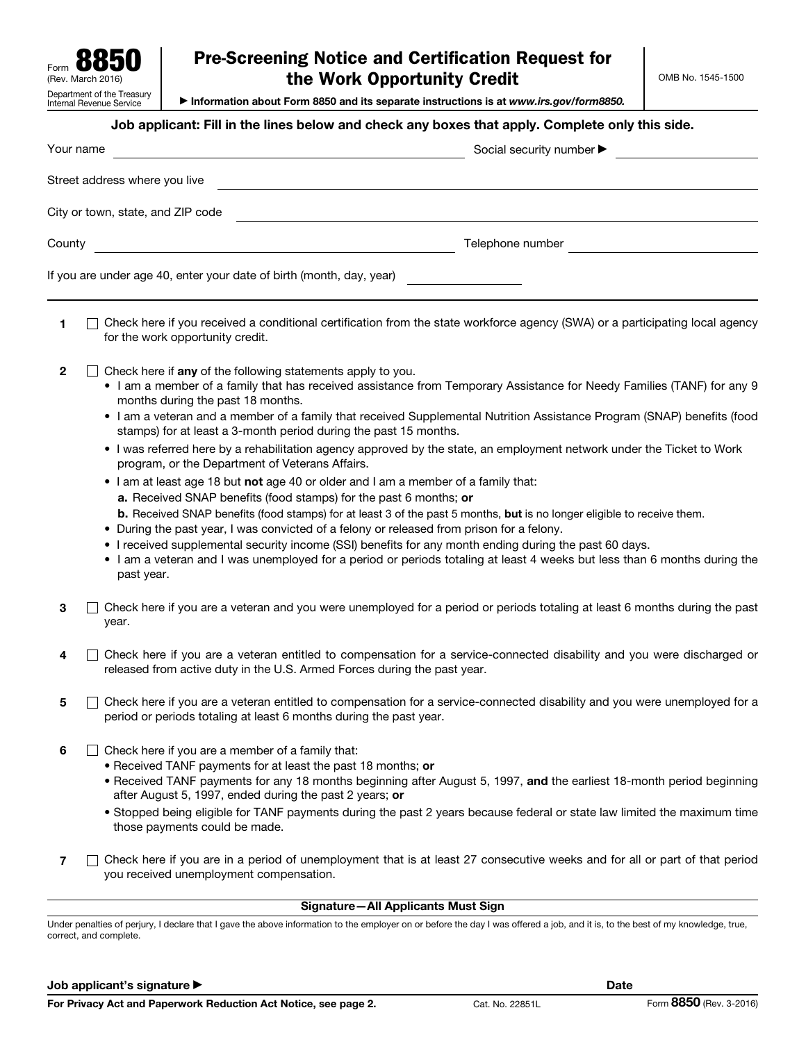| U<br>$\bullet$<br>Form                                 |
|--------------------------------------------------------|
| (Rev. March 2016)                                      |
| Department of the Treasury<br>Internal Revenue Service |

# Pre-Screening Notice and Certification Request for the Work Opportunity Credit

▶ Information about Form 8850 and its separate instructions is at *www.irs.gov/form8850.*

### Job applicant: Fill in the lines below and check any boxes that apply. Complete only this side.

| Your name                                                            | Social security number > |
|----------------------------------------------------------------------|--------------------------|
| Street address where you live                                        |                          |
| City or town, state, and ZIP code                                    |                          |
| County                                                               | Telephone number         |
| If you are under age 40, enter your date of birth (month, day, year) |                          |

1  $\Box$  Check here if you received a conditional certification from the state workforce agency (SWA) or a participating local agency for the work opportunity credit.

- 2  $\Box$  Check here if any of the following statements apply to you.
	- I am a member of a family that has received assistance from Temporary Assistance for Needy Families (TANF) for any 9 months during the past 18 months.
	- I am a veteran and a member of a family that received Supplemental Nutrition Assistance Program (SNAP) benefits (food stamps) for at least a 3-month period during the past 15 months.
	- I was referred here by a rehabilitation agency approved by the state, an employment network under the Ticket to Work program, or the Department of Veterans Affairs.
	- I am at least age 18 but not age 40 or older and I am a member of a family that:
		- a. Received SNAP benefits (food stamps) for the past 6 months; or
		- b. Received SNAP benefits (food stamps) for at least 3 of the past 5 months, but is no longer eligible to receive them.
	- During the past year, I was convicted of a felony or released from prison for a felony.
	- I received supplemental security income (SSI) benefits for any month ending during the past 60 days.
	- I am a veteran and I was unemployed for a period or periods totaling at least 4 weeks but less than 6 months during the past year.
- $3 \cap$  Check here if you are a veteran and you were unemployed for a period or periods totaling at least 6 months during the past year.
- $4 \cap$  Check here if you are a veteran entitled to compensation for a service-connected disability and you were discharged or released from active duty in the U.S. Armed Forces during the past year.
- $5\quad \Box$  Check here if you are a veteran entitled to compensation for a service-connected disability and you were unemployed for a period or periods totaling at least 6 months during the past year.
- 6  $\Box$  Check here if you are a member of a family that:
	- Received TANF payments for at least the past 18 months; or
	- Received TANF payments for any 18 months beginning after August 5, 1997, and the earliest 18-month period beginning after August 5, 1997, ended during the past 2 years; or
	- Stopped being eligible for TANF payments during the past 2 years because federal or state law limited the maximum time those payments could be made.
- 7 Check here if you are in a period of unemployment that is at least 27 consecutive weeks and for all or part of that period you received unemployment compensation.

### Signature—All Applicants Must Sign

Under penalties of perjury, I declare that I gave the above information to the employer on or before the day I was offered a job, and it is, to the best of my knowledge, true, correct, and complete.